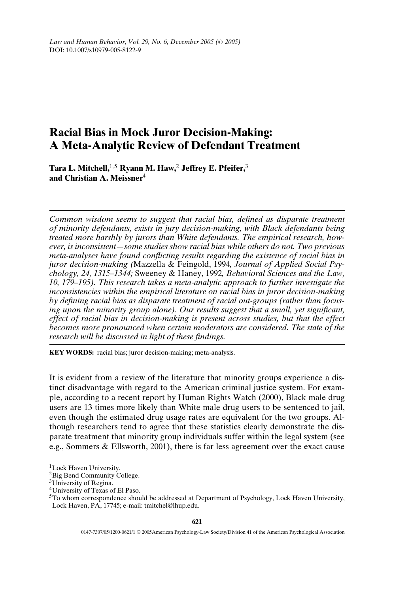# **Racial Bias in Mock Juror Decision-Making: A Meta-Analytic Review of Defendant Treatment**

**Tara L. Mitchell,**<sup>1</sup>*,*<sup>5</sup> **Ryann M. Haw,**<sup>2</sup> **Jeffrey E. Pfeifer,**<sup>3</sup> **and Christian A. Meissner**<sup>4</sup>

*Common wisdom seems to suggest that racial bias, defined as disparate treatment of minority defendants, exists in jury decision-making, with Black defendants being treated more harshly by jurors than White defendants. The empirical research, however, is inconsistent—some studies show racial bias while others do not. Two previous meta-analyses have found conflicting results regarding the existence of racial bias in juror decision-making (*Mazzella & Feingold, 1994*, Journal of Applied Social Psychology, 24, 1315–1344;* Sweeney & Haney, 1992*, Behavioral Sciences and the Law, 10, 179–195). This research takes a meta-analytic approach to further investigate the inconsistencies within the empirical literature on racial bias in juror decision-making by defining racial bias as disparate treatment of racial out-groups (rather than focusing upon the minority group alone). Our results suggest that a small, yet significant, effect of racial bias in decision-making is present across studies, but that the effect becomes more pronounced when certain moderators are considered. The state of the research will be discussed in light of these findings.*

**KEY WORDS:** racial bias; juror decision-making; meta-analysis.

It is evident from a review of the literature that minority groups experience a distinct disadvantage with regard to the American criminal justice system. For example, according to a recent report by Human Rights Watch (2000), Black male drug users are 13 times more likely than White male drug users to be sentenced to jail, even though the estimated drug usage rates are equivalent for the two groups. Although researchers tend to agree that these statistics clearly demonstrate the disparate treatment that minority group individuals suffer within the legal system (see e.g., Sommers & Ellsworth, 2001), there is far less agreement over the exact cause

2Big Bend Community College.

<sup>&</sup>lt;sup>1</sup>Lock Haven University.

<sup>&</sup>lt;sup>3</sup>University of Regina.

<sup>4</sup>University of Texas of El Paso.

<sup>&</sup>lt;sup>5</sup>To whom correspondence should be addressed at Department of Psychology, Lock Haven University, Lock Haven, PA, 17745; e-mail: tmitchel@lhup.edu.

<sup>0147-7307/05/1200-0621/1</sup> <sup>C</sup> 2005American Psychology-Law Society/Division 41 of the American Psychological Association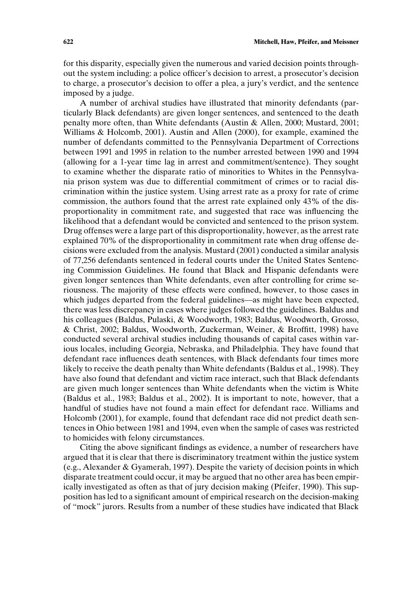for this disparity, especially given the numerous and varied decision points throughout the system including: a police officer's decision to arrest, a prosecutor's decision to charge, a prosecutor's decision to offer a plea, a jury's verdict, and the sentence imposed by a judge.

A number of archival studies have illustrated that minority defendants (particularly Black defendants) are given longer sentences, and sentenced to the death penalty more often, than White defendants (Austin & Allen, 2000; Mustard, 2001; Williams & Holcomb, 2001). Austin and Allen (2000), for example, examined the number of defendants committed to the Pennsylvania Department of Corrections between 1991 and 1995 in relation to the number arrested between 1990 and 1994 (allowing for a 1-year time lag in arrest and commitment/sentence). They sought to examine whether the disparate ratio of minorities to Whites in the Pennsylvania prison system was due to differential commitment of crimes or to racial discrimination within the justice system. Using arrest rate as a proxy for rate of crime commission, the authors found that the arrest rate explained only 43% of the disproportionality in commitment rate, and suggested that race was influencing the likelihood that a defendant would be convicted and sentenced to the prison system. Drug offenses were a large part of this disproportionality, however, as the arrest rate explained 70% of the disproportionality in commitment rate when drug offense decisions were excluded from the analysis. Mustard (2001) conducted a similar analysis of 77,256 defendants sentenced in federal courts under the United States Sentencing Commission Guidelines. He found that Black and Hispanic defendants were given longer sentences than White defendants, even after controlling for crime seriousness. The majority of these effects were confined, however, to those cases in which judges departed from the federal guidelines—as might have been expected, there was less discrepancy in cases where judges followed the guidelines. Baldus and his colleagues (Baldus, Pulaski, & Woodworth, 1983; Baldus, Woodworth, Grosso, & Christ, 2002; Baldus, Woodworth, Zuckerman, Weiner, & Broffitt, 1998) have conducted several archival studies including thousands of capital cases within various locales, including Georgia, Nebraska, and Philadelphia. They have found that defendant race influences death sentences, with Black defendants four times more likely to receive the death penalty than White defendants (Baldus et al., 1998). They have also found that defendant and victim race interact, such that Black defendants are given much longer sentences than White defendants when the victim is White (Baldus et al., 1983; Baldus et al., 2002). It is important to note, however, that a handful of studies have not found a main effect for defendant race. Williams and Holcomb (2001), for example, found that defendant race did not predict death sentences in Ohio between 1981 and 1994, even when the sample of cases was restricted to homicides with felony circumstances.

Citing the above significant findings as evidence, a number of researchers have argued that it is clear that there is discriminatory treatment within the justice system (e.g., Alexander & Gyamerah, 1997). Despite the variety of decision points in which disparate treatment could occur, it may be argued that no other area has been empirically investigated as often as that of jury decision making (Pfeifer, 1990). This supposition has led to a significant amount of empirical research on the decision-making of "mock" jurors. Results from a number of these studies have indicated that Black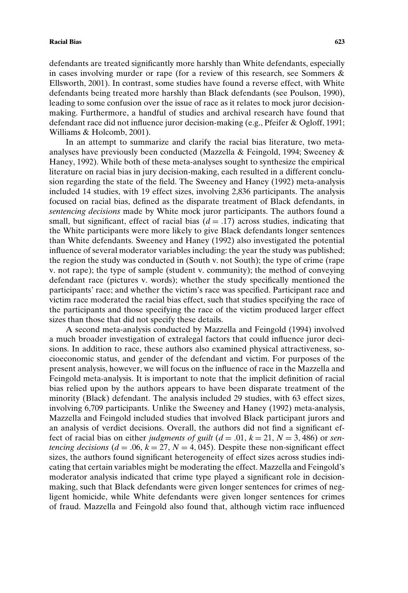defendants are treated significantly more harshly than White defendants, especially in cases involving murder or rape (for a review of this research, see Sommers  $\&$ Ellsworth, 2001). In contrast, some studies have found a reverse effect, with White defendants being treated more harshly than Black defendants (see Poulson, 1990), leading to some confusion over the issue of race as it relates to mock juror decisionmaking. Furthermore, a handful of studies and archival research have found that defendant race did not influence juror decision-making (e.g., Pfeifer & Ogloff, 1991; Williams & Holcomb, 2001).

In an attempt to summarize and clarify the racial bias literature, two metaanalyses have previously been conducted (Mazzella & Feingold, 1994; Sweeney & Haney, 1992). While both of these meta-analyses sought to synthesize the empirical literature on racial bias in jury decision-making, each resulted in a different conclusion regarding the state of the field. The Sweeney and Haney (1992) meta-analysis included 14 studies, with 19 effect sizes, involving 2,836 participants. The analysis focused on racial bias, defined as the disparate treatment of Black defendants, in *sentencing decisions* made by White mock juror participants. The authors found a small, but significant, effect of racial bias  $(d = .17)$  across studies, indicating that the White participants were more likely to give Black defendants longer sentences than White defendants. Sweeney and Haney (1992) also investigated the potential influence of several moderator variables including: the year the study was published; the region the study was conducted in (South v. not South); the type of crime (rape v. not rape); the type of sample (student v. community); the method of conveying defendant race (pictures v. words); whether the study specifically mentioned the participants' race; and whether the victim's race was specified. Participant race and victim race moderated the racial bias effect, such that studies specifying the race of the participants and those specifying the race of the victim produced larger effect sizes than those that did not specify these details.

A second meta-analysis conducted by Mazzella and Feingold (1994) involved a much broader investigation of extralegal factors that could influence juror decisions. In addition to race, these authors also examined physical attractiveness, socioeconomic status, and gender of the defendant and victim. For purposes of the present analysis, however, we will focus on the influence of race in the Mazzella and Feingold meta-analysis. It is important to note that the implicit definition of racial bias relied upon by the authors appears to have been disparate treatment of the minority (Black) defendant. The analysis included 29 studies, with 63 effect sizes, involving 6,709 participants. Unlike the Sweeney and Haney (1992) meta-analysis, Mazzella and Feingold included studies that involved Black participant jurors and an analysis of verdict decisions. Overall, the authors did not find a significant effect of racial bias on either *judgments of guilt*  $(d = .01, k = 21, N = 3,486)$  or *sentencing decisions* ( $d = .06$ ,  $k = 27$ ,  $N = 4,045$ ). Despite these non-significant effect sizes, the authors found significant heterogeneity of effect sizes across studies indicating that certain variables might be moderating the effect. Mazzella and Feingold's moderator analysis indicated that crime type played a significant role in decisionmaking, such that Black defendants were given longer sentences for crimes of negligent homicide, while White defendants were given longer sentences for crimes of fraud. Mazzella and Feingold also found that, although victim race influenced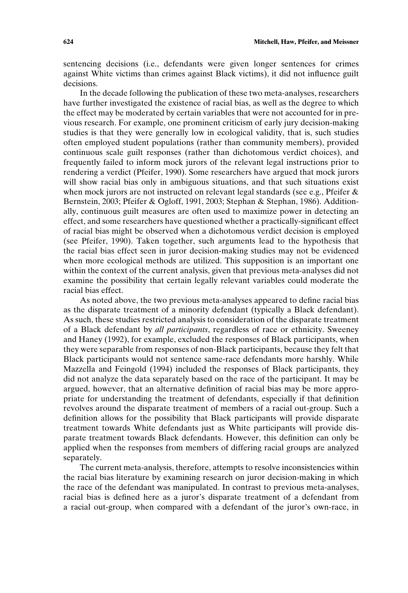sentencing decisions (i.e., defendants were given longer sentences for crimes against White victims than crimes against Black victims), it did not influence guilt decisions.

In the decade following the publication of these two meta-analyses, researchers have further investigated the existence of racial bias, as well as the degree to which the effect may be moderated by certain variables that were not accounted for in previous research. For example, one prominent criticism of early jury decision-making studies is that they were generally low in ecological validity, that is, such studies often employed student populations (rather than community members), provided continuous scale guilt responses (rather than dichotomous verdict choices), and frequently failed to inform mock jurors of the relevant legal instructions prior to rendering a verdict (Pfeifer, 1990). Some researchers have argued that mock jurors will show racial bias only in ambiguous situations, and that such situations exist when mock jurors are not instructed on relevant legal standards (see e.g., Pfeifer  $\&$ Bernstein, 2003; Pfeifer & Ogloff, 1991, 2003; Stephan & Stephan, 1986). Additionally, continuous guilt measures are often used to maximize power in detecting an effect, and some researchers have questioned whether a practically-significant effect of racial bias might be observed when a dichotomous verdict decision is employed (see Pfeifer, 1990). Taken together, such arguments lead to the hypothesis that the racial bias effect seen in juror decision-making studies may not be evidenced when more ecological methods are utilized. This supposition is an important one within the context of the current analysis, given that previous meta-analyses did not examine the possibility that certain legally relevant variables could moderate the racial bias effect.

As noted above, the two previous meta-analyses appeared to define racial bias as the disparate treatment of a minority defendant (typically a Black defendant). As such, these studies restricted analysis to consideration of the disparate treatment of a Black defendant by *all participants*, regardless of race or ethnicity. Sweeney and Haney (1992), for example, excluded the responses of Black participants, when they were separable from responses of non-Black participants, because they felt that Black participants would not sentence same-race defendants more harshly. While Mazzella and Feingold (1994) included the responses of Black participants, they did not analyze the data separately based on the race of the participant. It may be argued, however, that an alternative definition of racial bias may be more appropriate for understanding the treatment of defendants, especially if that definition revolves around the disparate treatment of members of a racial out-group. Such a definition allows for the possibility that Black participants will provide disparate treatment towards White defendants just as White participants will provide disparate treatment towards Black defendants. However, this definition can only be applied when the responses from members of differing racial groups are analyzed separately.

The current meta-analysis, therefore, attempts to resolve inconsistencies within the racial bias literature by examining research on juror decision-making in which the race of the defendant was manipulated. In contrast to previous meta-analyses, racial bias is defined here as a juror's disparate treatment of a defendant from a racial out-group, when compared with a defendant of the juror's own-race, in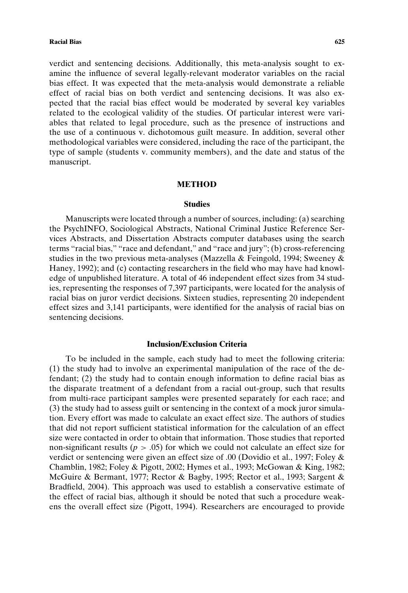verdict and sentencing decisions. Additionally, this meta-analysis sought to examine the influence of several legally-relevant moderator variables on the racial bias effect. It was expected that the meta-analysis would demonstrate a reliable effect of racial bias on both verdict and sentencing decisions. It was also expected that the racial bias effect would be moderated by several key variables related to the ecological validity of the studies. Of particular interest were variables that related to legal procedure, such as the presence of instructions and the use of a continuous v. dichotomous guilt measure. In addition, several other methodological variables were considered, including the race of the participant, the type of sample (students v. community members), and the date and status of the manuscript.

# **METHOD**

## **Studies**

Manuscripts were located through a number of sources, including: (a) searching the PsychINFO, Sociological Abstracts, National Criminal Justice Reference Services Abstracts, and Dissertation Abstracts computer databases using the search terms "racial bias," "race and defendant," and "race and jury"; (b) cross-referencing studies in the two previous meta-analyses (Mazzella & Feingold, 1994; Sweeney & Haney, 1992); and (c) contacting researchers in the field who may have had knowledge of unpublished literature. A total of 46 independent effect sizes from 34 studies, representing the responses of 7,397 participants, were located for the analysis of racial bias on juror verdict decisions. Sixteen studies, representing 20 independent effect sizes and 3,141 participants, were identified for the analysis of racial bias on sentencing decisions.

# **Inclusion/Exclusion Criteria**

To be included in the sample, each study had to meet the following criteria: (1) the study had to involve an experimental manipulation of the race of the defendant; (2) the study had to contain enough information to define racial bias as the disparate treatment of a defendant from a racial out-group, such that results from multi-race participant samples were presented separately for each race; and (3) the study had to assess guilt or sentencing in the context of a mock juror simulation. Every effort was made to calculate an exact effect size. The authors of studies that did not report sufficient statistical information for the calculation of an effect size were contacted in order to obtain that information. Those studies that reported non-significant results ( $p > .05$ ) for which we could not calculate an effect size for verdict or sentencing were given an effect size of .00 (Dovidio et al., 1997; Foley & Chamblin, 1982; Foley & Pigott, 2002; Hymes et al., 1993; McGowan & King, 1982; McGuire & Bermant, 1977; Rector & Bagby, 1995; Rector et al., 1993; Sargent & Bradfield, 2004). This approach was used to establish a conservative estimate of the effect of racial bias, although it should be noted that such a procedure weakens the overall effect size (Pigott, 1994). Researchers are encouraged to provide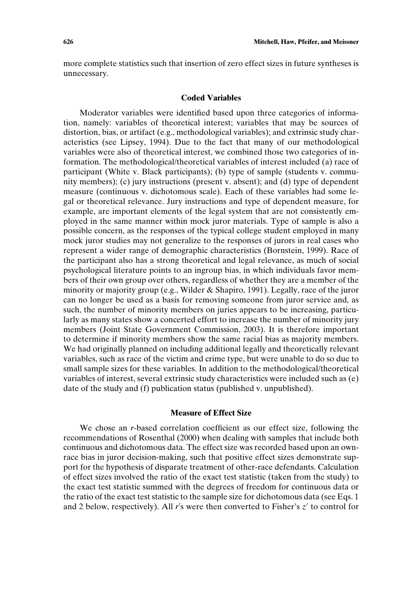more complete statistics such that insertion of zero effect sizes in future syntheses is unnecessary.

# **Coded Variables**

Moderator variables were identified based upon three categories of information, namely: variables of theoretical interest; variables that may be sources of distortion, bias, or artifact (e.g., methodological variables); and extrinsic study characteristics (see Lipsey, 1994). Due to the fact that many of our methodological variables were also of theoretical interest, we combined those two categories of information. The methodological/theoretical variables of interest included (a) race of participant (White v. Black participants); (b) type of sample (students v. community members); (c) jury instructions (present v. absent); and (d) type of dependent measure (continuous v. dichotomous scale). Each of these variables had some legal or theoretical relevance. Jury instructions and type of dependent measure, for example, are important elements of the legal system that are not consistently employed in the same manner within mock juror materials. Type of sample is also a possible concern, as the responses of the typical college student employed in many mock juror studies may not generalize to the responses of jurors in real cases who represent a wider range of demographic characteristics (Bornstein, 1999). Race of the participant also has a strong theoretical and legal relevance, as much of social psychological literature points to an ingroup bias, in which individuals favor members of their own group over others, regardless of whether they are a member of the minority or majority group (e.g., Wilder & Shapiro, 1991). Legally, race of the juror can no longer be used as a basis for removing someone from juror service and, as such, the number of minority members on juries appears to be increasing, particularly as many states show a concerted effort to increase the number of minority jury members (Joint State Government Commission, 2003). It is therefore important to determine if minority members show the same racial bias as majority members. We had originally planned on including additional legally and theoretically relevant variables, such as race of the victim and crime type, but were unable to do so due to small sample sizes for these variables. In addition to the methodological/theoretical variables of interest, several extrinsic study characteristics were included such as (e) date of the study and (f) publication status (published v. unpublished).

## **Measure of Effect Size**

We chose an *r*-based correlation coefficient as our effect size, following the recommendations of Rosenthal (2000) when dealing with samples that include both continuous and dichotomous data. The effect size was recorded based upon an ownrace bias in juror decision-making, such that positive effect sizes demonstrate support for the hypothesis of disparate treatment of other-race defendants. Calculation of effect sizes involved the ratio of the exact test statistic (taken from the study) to the exact test statistic summed with the degrees of freedom for continuous data or the ratio of the exact test statistic to the sample size for dichotomous data (see Eqs. 1 and 2 below, respectively). All r's were then converted to Fisher's *z*' to control for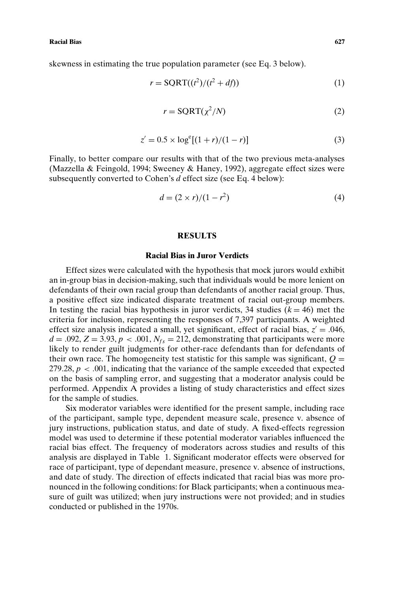skewness in estimating the true population parameter (see Eq. 3 below).

$$
r = \text{SQRT}((t^2)/(t^2 + df))
$$
\n<sup>(1)</sup>

$$
r = \text{SQRT}(\chi^2/N) \tag{2}
$$

$$
z' = 0.5 \times \log^{e}[(1+r)/(1-r)] \tag{3}
$$

Finally, to better compare our results with that of the two previous meta-analyses (Mazzella & Feingold, 1994; Sweeney & Haney, 1992), aggregate effect sizes were subsequently converted to Cohen's *d* effect size (see Eq. 4 below):

$$
d = (2 \times r)/(1 - r^2) \tag{4}
$$

## **RESULTS**

#### **Racial Bias in Juror Verdicts**

Effect sizes were calculated with the hypothesis that mock jurors would exhibit an in-group bias in decision-making, such that individuals would be more lenient on defendants of their own racial group than defendants of another racial group. Thus, a positive effect size indicated disparate treatment of racial out-group members. In testing the racial bias hypothesis in juror verdicts, 34 studies  $(k = 46)$  met the criteria for inclusion, representing the responses of 7,397 participants. A weighted effect size analysis indicated a small, yet significant, effect of racial bias,  $z' = .046$ ,  $d = .092, Z = 3.93, p < .001, N<sub>fs</sub> = 212$ , demonstrating that participants were more likely to render guilt judgments for other-race defendants than for defendants of their own race. The homogeneity test statistic for this sample was significant,  $Q =$ 279.28,  $p < .001$ , indicating that the variance of the sample exceeded that expected on the basis of sampling error, and suggesting that a moderator analysis could be performed. Appendix A provides a listing of study characteristics and effect sizes for the sample of studies.

Six moderator variables were identified for the present sample, including race of the participant, sample type, dependent measure scale, presence v. absence of jury instructions, publication status, and date of study. A fixed-effects regression model was used to determine if these potential moderator variables influenced the racial bias effect. The frequency of moderators across studies and results of this analysis are displayed in Table 1. Significant moderator effects were observed for race of participant, type of dependant measure, presence v. absence of instructions, and date of study. The direction of effects indicated that racial bias was more pronounced in the following conditions: for Black participants; when a continuous measure of guilt was utilized; when jury instructions were not provided; and in studies conducted or published in the 1970s.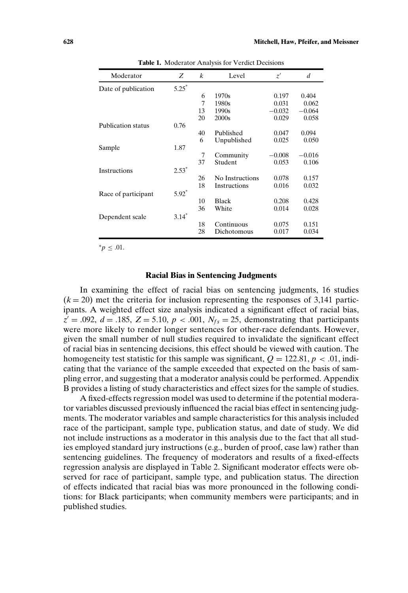| Moderator           | Z        | k  | Level           | z'       | d        |
|---------------------|----------|----|-----------------|----------|----------|
| Date of publication | $5.25^*$ |    |                 |          |          |
|                     |          | 6  | 1970s           | 0.197    | 0.404    |
|                     |          | 7  | 1980s           | 0.031    | 0.062    |
|                     |          | 13 | 1990s           | $-0.032$ | $-0.064$ |
|                     |          | 20 | 2000s           | 0.029    | 0.058    |
| Publication status  | 0.76     |    |                 |          |          |
|                     |          | 40 | Published       | 0.047    | 0.094    |
|                     |          | 6  | Unpublished     | 0.025    | 0.050    |
| Sample              | 1.87     |    |                 |          |          |
|                     |          | 7  | Community       | $-0.008$ | $-0.016$ |
|                     |          | 37 | Student         | 0.053    | 0.106    |
| <b>Instructions</b> | $2.53*$  |    |                 |          |          |
|                     |          | 26 | No Instructions | 0.078    | 0.157    |
|                     |          | 18 | Instructions    | 0.016    | 0.032    |
| Race of participant | $5.92^*$ |    |                 |          |          |
|                     |          | 10 | <b>Black</b>    | 0.208    | 0.428    |
|                     |          | 36 | White           | 0.014    | 0.028    |
| Dependent scale     | $3.14*$  |    |                 |          |          |
|                     |          | 18 | Continuous      | 0.075    | 0.151    |
|                     |          | 28 | Dichotomous     | 0.017    | 0.034    |

**Table 1.** Moderator Analysis for Verdict Decisions

<sup>∗</sup>*p* ≤ *.*01.

## **Racial Bias in Sentencing Judgments**

In examining the effect of racial bias on sentencing judgments, 16 studies  $(k = 20)$  met the criteria for inclusion representing the responses of 3,141 participants. A weighted effect size analysis indicated a significant effect of racial bias,  $z' = .092, d = .185, Z = 5.10, p < .001, N_{fs} = 25$ , demonstrating that participants were more likely to render longer sentences for other-race defendants. However, given the small number of null studies required to invalidate the significant effect of racial bias in sentencing decisions, this effect should be viewed with caution. The homogeneity test statistic for this sample was significant,  $Q = 122.81$ ,  $p < .01$ , indicating that the variance of the sample exceeded that expected on the basis of sampling error, and suggesting that a moderator analysis could be performed. Appendix B provides a listing of study characteristics and effect sizes for the sample of studies.

A fixed-effects regression model was used to determine if the potential moderator variables discussed previously influenced the racial bias effect in sentencing judgments. The moderator variables and sample characteristics for this analysis included race of the participant, sample type, publication status, and date of study. We did not include instructions as a moderator in this analysis due to the fact that all studies employed standard jury instructions (e.g., burden of proof, case law) rather than sentencing guidelines. The frequency of moderators and results of a fixed-effects regression analysis are displayed in Table 2. Significant moderator effects were observed for race of participant, sample type, and publication status. The direction of effects indicated that racial bias was more pronounced in the following conditions: for Black participants; when community members were participants; and in published studies.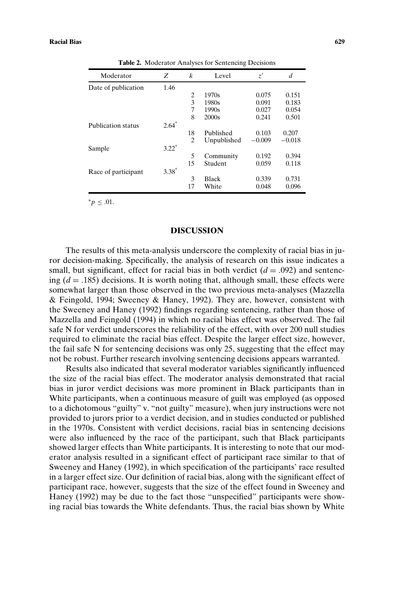| Moderator           | Z                   | k              | Level        | z'       | d        |
|---------------------|---------------------|----------------|--------------|----------|----------|
| Date of publication | 1.46                |                |              |          |          |
|                     |                     | 2              | 1970s        | 0.075    | 0.151    |
|                     |                     | 3              | 1980s        | 0.091    | 0.183    |
|                     |                     | 7              | 1990s        | 0.027    | 0.054    |
|                     |                     | 8              | 2000s        | 0.241    | 0.501    |
| Publication status  | $2.64*$             |                |              |          |          |
|                     |                     | 18             | Published    | 0.103    | 0.207    |
|                     |                     | $\overline{c}$ | Unpublished  | $-0.009$ | $-0.018$ |
| Sample              | $3.22$ <sup>*</sup> |                |              |          |          |
|                     |                     | 5              | Community    | 0.192    | 0.394    |
|                     |                     | 15             | Student      | 0.059    | 0.118    |
| Race of participant | $3.38*$             |                |              |          |          |
|                     |                     | 3              | <b>Black</b> | 0.339    | 0.731    |
|                     |                     | 17             | White        | 0.048    | 0.096    |

**Table 2.** Moderator Analyses for Sentencing Decisions

<sup>∗</sup>*p* ≤ *.*01.

## **DISCUSSION**

The results of this meta-analysis underscore the complexity of racial bias in juror decision-making. Specifically, the analysis of research on this issue indicates a small, but significant, effect for racial bias in both verdict  $(d = .092)$  and sentencing  $(d = .185)$  decisions. It is worth noting that, although small, these effects were somewhat larger than those observed in the two previous meta-analyses (Mazzella & Feingold, 1994; Sweeney & Haney, 1992). They are, however, consistent with the Sweeney and Haney (1992) findings regarding sentencing, rather than those of Mazzella and Feingold (1994) in which no racial bias effect was observed. The fail safe N for verdict underscores the reliability of the effect, with over 200 null studies required to eliminate the racial bias effect. Despite the larger effect size, however, the fail safe N for sentencing decisions was only 25, suggesting that the effect may not be robust. Further research involving sentencing decisions appears warranted.

Results also indicated that several moderator variables significantly influenced the size of the racial bias effect. The moderator analysis demonstrated that racial bias in juror verdict decisions was more prominent in Black participants than in White participants, when a continuous measure of guilt was employed (as opposed to a dichotomous "guilty" v. "not guilty" measure), when jury instructions were not provided to jurors prior to a verdict decision, and in studies conducted or published in the 1970s. Consistent with verdict decisions, racial bias in sentencing decisions were also influenced by the race of the participant, such that Black participants showed larger effects than White participants. It is interesting to note that our moderator analysis resulted in a significant effect of participant race similar to that of Sweeney and Haney (1992), in which specification of the participants' race resulted in a larger effect size. Our definition of racial bias, along with the significant effect of participant race, however, suggests that the size of the effect found in Sweeney and Haney (1992) may be due to the fact those "unspecified" participants were showing racial bias towards the White defendants. Thus, the racial bias shown by White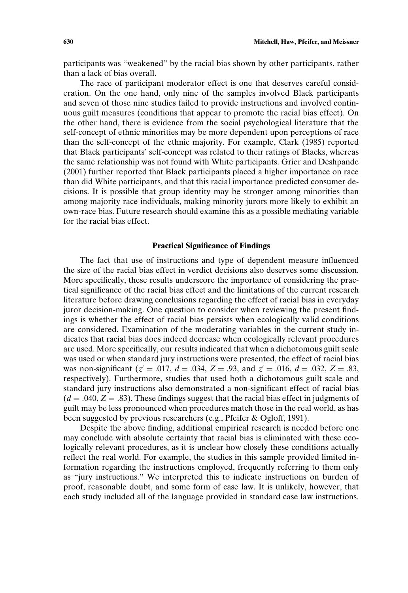participants was "weakened" by the racial bias shown by other participants, rather than a lack of bias overall.

The race of participant moderator effect is one that deserves careful consideration. On the one hand, only nine of the samples involved Black participants and seven of those nine studies failed to provide instructions and involved continuous guilt measures (conditions that appear to promote the racial bias effect). On the other hand, there is evidence from the social psychological literature that the self-concept of ethnic minorities may be more dependent upon perceptions of race than the self-concept of the ethnic majority. For example, Clark (1985) reported that Black participants' self-concept was related to their ratings of Blacks, whereas the same relationship was not found with White participants. Grier and Deshpande (2001) further reported that Black participants placed a higher importance on race than did White participants, and that this racial importance predicted consumer decisions. It is possible that group identity may be stronger among minorities than among majority race individuals, making minority jurors more likely to exhibit an own-race bias. Future research should examine this as a possible mediating variable for the racial bias effect.

## **Practical Significance of Findings**

The fact that use of instructions and type of dependent measure influenced the size of the racial bias effect in verdict decisions also deserves some discussion. More specifically, these results underscore the importance of considering the practical significance of the racial bias effect and the limitations of the current research literature before drawing conclusions regarding the effect of racial bias in everyday juror decision-making. One question to consider when reviewing the present findings is whether the effect of racial bias persists when ecologically valid conditions are considered. Examination of the moderating variables in the current study indicates that racial bias does indeed decrease when ecologically relevant procedures are used. More specifically, our results indicated that when a dichotomous guilt scale was used or when standard jury instructions were presented, the effect of racial bias was non-significant ( $z' = .017$ ,  $d = .034$ ,  $Z = .93$ , and  $z' = .016$ ,  $d = .032$ ,  $Z = .83$ , respectively). Furthermore, studies that used both a dichotomous guilt scale and standard jury instructions also demonstrated a non-significant effect of racial bias  $(d = .040, Z = .83)$ . These findings suggest that the racial bias effect in judgments of guilt may be less pronounced when procedures match those in the real world, as has been suggested by previous researchers (e.g., Pfeifer & Ogloff, 1991).

Despite the above finding, additional empirical research is needed before one may conclude with absolute certainty that racial bias is eliminated with these ecologically relevant procedures, as it is unclear how closely these conditions actually reflect the real world. For example, the studies in this sample provided limited information regarding the instructions employed, frequently referring to them only as "jury instructions." We interpreted this to indicate instructions on burden of proof, reasonable doubt, and some form of case law. It is unlikely, however, that each study included all of the language provided in standard case law instructions.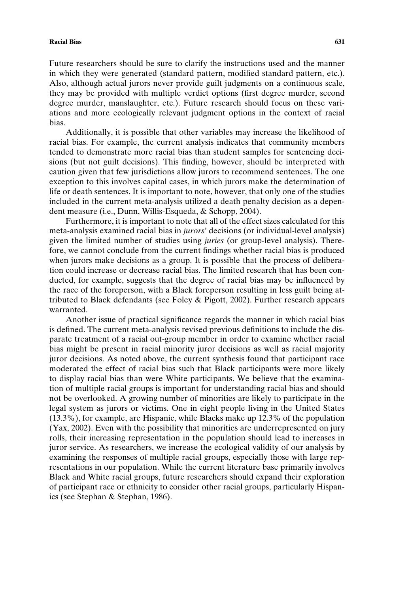Future researchers should be sure to clarify the instructions used and the manner in which they were generated (standard pattern, modified standard pattern, etc.). Also, although actual jurors never provide guilt judgments on a continuous scale, they may be provided with multiple verdict options (first degree murder, second degree murder, manslaughter, etc.). Future research should focus on these variations and more ecologically relevant judgment options in the context of racial bias.

Additionally, it is possible that other variables may increase the likelihood of racial bias. For example, the current analysis indicates that community members tended to demonstrate more racial bias than student samples for sentencing decisions (but not guilt decisions). This finding, however, should be interpreted with caution given that few jurisdictions allow jurors to recommend sentences. The one exception to this involves capital cases, in which jurors make the determination of life or death sentences. It is important to note, however, that only one of the studies included in the current meta-analysis utilized a death penalty decision as a dependent measure (i.e., Dunn, Willis-Esqueda, & Schopp, 2004).

Furthermore, it is important to note that all of the effect sizes calculated for this meta-analysis examined racial bias in *jurors*' decisions (or individual-level analysis) given the limited number of studies using *juries* (or group-level analysis). Therefore, we cannot conclude from the current findings whether racial bias is produced when jurors make decisions as a group. It is possible that the process of deliberation could increase or decrease racial bias. The limited research that has been conducted, for example, suggests that the degree of racial bias may be influenced by the race of the foreperson, with a Black foreperson resulting in less guilt being attributed to Black defendants (see Foley & Pigott, 2002). Further research appears warranted.

Another issue of practical significance regards the manner in which racial bias is defined. The current meta-analysis revised previous definitions to include the disparate treatment of a racial out-group member in order to examine whether racial bias might be present in racial minority juror decisions as well as racial majority juror decisions. As noted above, the current synthesis found that participant race moderated the effect of racial bias such that Black participants were more likely to display racial bias than were White participants. We believe that the examination of multiple racial groups is important for understanding racial bias and should not be overlooked. A growing number of minorities are likely to participate in the legal system as jurors or victims. One in eight people living in the United States (13.3%), for example, are Hispanic, while Blacks make up 12.3% of the population (Yax, 2002). Even with the possibility that minorities are underrepresented on jury rolls, their increasing representation in the population should lead to increases in juror service. As researchers, we increase the ecological validity of our analysis by examining the responses of multiple racial groups, especially those with large representations in our population. While the current literature base primarily involves Black and White racial groups, future researchers should expand their exploration of participant race or ethnicity to consider other racial groups, particularly Hispanics (see Stephan & Stephan, 1986).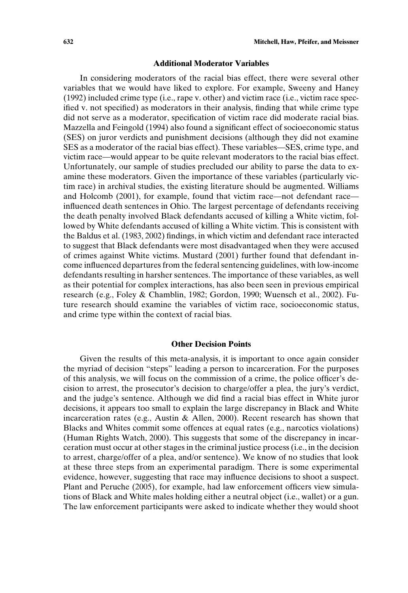#### **Additional Moderator Variables**

In considering moderators of the racial bias effect, there were several other variables that we would have liked to explore. For example, Sweeny and Haney (1992) included crime type (i.e., rape v. other) and victim race (i.e., victim race specified v. not specified) as moderators in their analysis, finding that while crime type did not serve as a moderator, specification of victim race did moderate racial bias. Mazzella and Feingold (1994) also found a significant effect of socioeconomic status (SES) on juror verdicts and punishment decisions (although they did not examine SES as a moderator of the racial bias effect). These variables—SES, crime type, and victim race—would appear to be quite relevant moderators to the racial bias effect. Unfortunately, our sample of studies precluded our ability to parse the data to examine these moderators. Given the importance of these variables (particularly victim race) in archival studies, the existing literature should be augmented. Williams and Holcomb (2001), for example, found that victim race—not defendant race influenced death sentences in Ohio. The largest percentage of defendants receiving the death penalty involved Black defendants accused of killing a White victim, followed by White defendants accused of killing a White victim. This is consistent with the Baldus et al. (1983, 2002) findings, in which victim and defendant race interacted to suggest that Black defendants were most disadvantaged when they were accused of crimes against White victims. Mustard (2001) further found that defendant income influenced departures from the federal sentencing guidelines, with low-income defendants resulting in harsher sentences. The importance of these variables, as well as their potential for complex interactions, has also been seen in previous empirical research (e.g., Foley & Chamblin, 1982; Gordon, 1990; Wuensch et al., 2002). Future research should examine the variables of victim race, socioeconomic status, and crime type within the context of racial bias.

# **Other Decision Points**

Given the results of this meta-analysis, it is important to once again consider the myriad of decision "steps" leading a person to incarceration. For the purposes of this analysis, we will focus on the commission of a crime, the police officer's decision to arrest, the prosecutor's decision to charge/offer a plea, the jury's verdict, and the judge's sentence. Although we did find a racial bias effect in White juror decisions, it appears too small to explain the large discrepancy in Black and White incarceration rates (e.g., Austin & Allen, 2000). Recent research has shown that Blacks and Whites commit some offences at equal rates (e.g., narcotics violations) (Human Rights Watch, 2000). This suggests that some of the discrepancy in incarceration must occur at other stages in the criminal justice process (i.e., in the decision to arrest, charge/offer of a plea, and/or sentence). We know of no studies that look at these three steps from an experimental paradigm. There is some experimental evidence, however, suggesting that race may influence decisions to shoot a suspect. Plant and Peruche (2005), for example, had law enforcement officers view simulations of Black and White males holding either a neutral object (i.e., wallet) or a gun. The law enforcement participants were asked to indicate whether they would shoot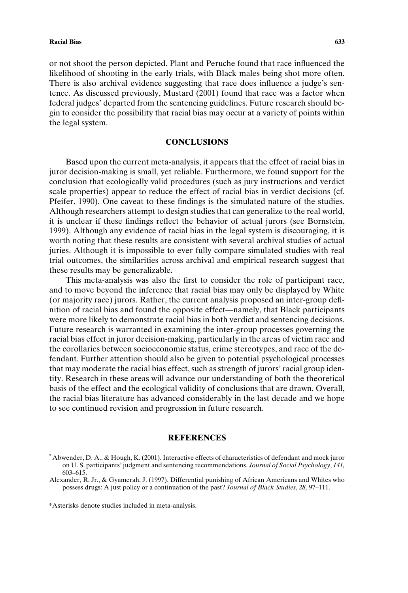or not shoot the person depicted. Plant and Peruche found that race influenced the likelihood of shooting in the early trials, with Black males being shot more often. There is also archival evidence suggesting that race does influence a judge's sentence. As discussed previously, Mustard (2001) found that race was a factor when federal judges' departed from the sentencing guidelines. Future research should begin to consider the possibility that racial bias may occur at a variety of points within the legal system.

# **CONCLUSIONS**

Based upon the current meta-analysis, it appears that the effect of racial bias in juror decision-making is small, yet reliable. Furthermore, we found support for the conclusion that ecologically valid procedures (such as jury instructions and verdict scale properties) appear to reduce the effect of racial bias in verdict decisions (cf. Pfeifer, 1990). One caveat to these findings is the simulated nature of the studies. Although researchers attempt to design studies that can generalize to the real world, it is unclear if these findings reflect the behavior of actual jurors (see Bornstein, 1999). Although any evidence of racial bias in the legal system is discouraging, it is worth noting that these results are consistent with several archival studies of actual juries. Although it is impossible to ever fully compare simulated studies with real trial outcomes, the similarities across archival and empirical research suggest that these results may be generalizable.

This meta-analysis was also the first to consider the role of participant race, and to move beyond the inference that racial bias may only be displayed by White (or majority race) jurors. Rather, the current analysis proposed an inter-group definition of racial bias and found the opposite effect—namely, that Black participants were more likely to demonstrate racial bias in both verdict and sentencing decisions. Future research is warranted in examining the inter-group processes governing the racial bias effect in juror decision-making, particularly in the areas of victim race and the corollaries between socioeconomic status, crime stereotypes, and race of the defendant. Further attention should also be given to potential psychological processes that may moderate the racial bias effect, such as strength of jurors' racial group identity. Research in these areas will advance our understanding of both the theoretical basis of the effect and the ecological validity of conclusions that are drawn. Overall, the racial bias literature has advanced considerably in the last decade and we hope to see continued revision and progression in future research.

## **REFERENCES**

Alexander, R. Jr., & Gyamerah, J. (1997). Differential punishing of African Americans and Whites who possess drugs: A just policy or a continuation of the past? *Journal of Black Studies*, *28,* 97–111.

\*Asterisks denote studies included in meta-analysis.

<sup>∗</sup> Abwender, D. A., & Hough, K. (2001). Interactive effects of characteristics of defendant and mock juror on U. S. participants' judgment and sentencing recommendations. *Journal of Social Psychology*, *141,* 603–615.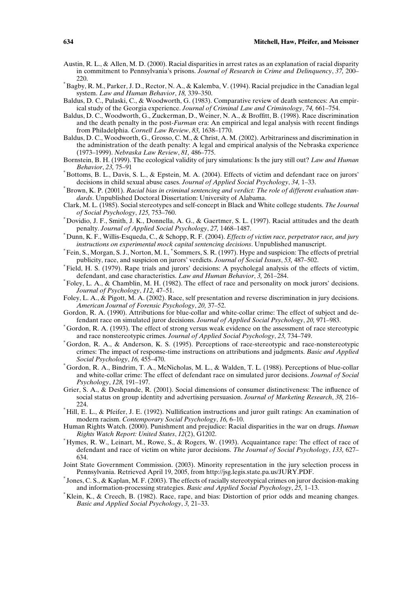- Austin, R. L., & Allen, M. D. (2000). Racial disparities in arrest rates as an explanation of racial disparity in commitment to Pennsylvania's prisons. *Journal of Research in Crime and Delinquency*, *37,* 200–
- 220. <sup>∗</sup> Bagby, R. M., Parker, J. D., Rector, N. A., & Kalemba, V. (1994). Racial prejudice in the Canadian legal system. *Law and Human Behavior*, *18,* 339–350.
- Baldus, D. C., Pulaski, C., & Woodworth, G. (1983). Comparative review of death sentences: An empirical study of the Georgia experience. *Journal of Criminal Law and Criminology*, *74,* 661–754.
- Baldus, D. C., Woodworth, G., Zuckerman, D., Weiner, N. A., & Broffitt, B. (1998). Race discrimination and the death penalty in the post-*Furman* era: An empirical and legal analysis with recent findings from Philadelphia. *Cornell Law Review*, *83,* 1638–1770.
- Baldus, D. C., Woodworth, G., Grosso, C. M., & Christ, A. M. (2002). Arbitrariness and discrimination in the administration of the death penalty: A legal and empirical analysis of the Nebraska experience (1973–1999). *Nebraska Law Review*, *81,* 486–775.
- Bornstein, B. H. (1999). The ecological validity of jury simulations: Is the jury still out? *Law and Human*
- *Behavior*, *23, 75–91*<br>
\*Bottoms, B. L., Davis, S. L., & Epstein, M. A. (2004). Effects of victim and defendant race on jurors' decisions in child sexual abuse cases. *Journal of Applied Social Psychology*, *34,* 1–33.
- ∗ Brown, K. P. (2001). *Racial bias in criminal sentencing and verdict: The role of different evaluation standards*. Unpublished Doctoral Dissertation: University of Alabama.
- Clark, M. L. (1985). Social stereotypes and self-concept in Black and White college students. *The Journal of Social Psychology*, *125,* 753–760.
- ∗ Dovidio, J. F., Smith, J. K., Donnella, A. G., & Gaertmer, S. L. (1997). Racial attitudes and the death penalty. *Journal of Applied Social Psychology*, *27,* 1468–1487.
- ∗ Dunn, K. F., Willis-Esqueda, C., & Schopp, R. F. (2004). *Effects of victim race, perpetrator race, and jury instructions on experimental mock capital sentencing decisions*. Unpublished manuscript.
- ∗ Fein, S., Morgan, S. J., Norton, M. I., <sup>∗</sup> Sommers, S. R. (1997). Hype and suspicion: The effects of pretrial publicity, race, and suspicion on jurors' verdicts. *Journal of Social Issues*, *53,* 487–502.
- ∗ Field, H. S. (1979). Rape trials and jurors' decisions: A psycholegal analysis of the effects of victim, defendant, and case characteristics. *Law and Human Behavior*, *3,* 261–284. <sup>∗</sup>
- Foley, L. A., & Chamblin, M. H. (1982). The effect of race and personality on mock jurors' decisions. *Journal of Psychology*, *112,* 47–51.
- Foley, L. A., & Pigott, M. A. (2002). Race, self presentation and reverse discrimination in jury decisions. *American Journal of Forensic Psychology*, *20,* 37–52.
- Gordon, R. A. (1990). Attributions for blue-collar and white-collar crime: The effect of subject and defendant race on simulated juror decisions. *Journal of Applied Social Psychology*, *20,* 971–983.
- ∗ Gordon, R. A. (1993). The effect of strong versus weak evidence on the assessment of race stereotypic and race nonstereotypic crimes. *Journal of Applied Social Psychology*, *23,* 734–749.
- ∗ Gordon, R. A., & Anderson, K. S. (1995). Perceptions of race-stereotypic and race-nonstereotypic crimes: The impact of response-time instructions on attributions and judgments. *Basic and Applied Social Psychology*, *16,* 455–470.
- ∗ Gordon, R. A., Bindrim, T. A., McNicholas, M. L., & Walden, T. L. (1988). Perceptions of blue-collar and white-collar crime: The effect of defendant race on simulated juror decisions. *Journal of Social Psychology*, *128,* 191–197.
- Grier, S. A., & Deshpande, R. (2001). Social dimensions of consumer distinctiveness: The influence of social status on group identity and advertising persuasion. *Journal of Marketing Research*, *38,* 216–
- 224. <sup>∗</sup> Hill, E. L., & Pfeifer, J. E. (1992). Nullification instructions and juror guilt ratings: An examination of modern racism. *Contemporary Social Psychology*, *16,* 6–10.
- Human Rights Watch. (2000). Punishment and prejudice: Racial disparities in the war on drugs. *Human Rights Watch Report: United States*, *12*(2), G1202.
- ∗ Hymes, R. W., Leinart, M., Rowe, S., & Rogers, W. (1993). Acquaintance rape: The effect of race of defendant and race of victim on white juror decisions. *The Journal of Social Psychology*, *133,* 627– 634.
- Joint State Government Commission. (2003). Minority representation in the jury selection process in Pennsylvania. Retrieved April 19, 2005, from http://jsg.legis.state.pa.us/JURY.PDF.
- ∗ Jones, C. S., & Kaplan, M. F. (2003). The effects of racially stereotypical crimes on juror decision-making and information-processing strategies. *Basic and Applied Social Psychology*, *25,* 1–13.
- ∗ Klein, K., & Creech, B. (1982). Race, rape, and bias: Distortion of prior odds and meaning changes. *Basic and Applied Social Psychology*, *3,* 21–33.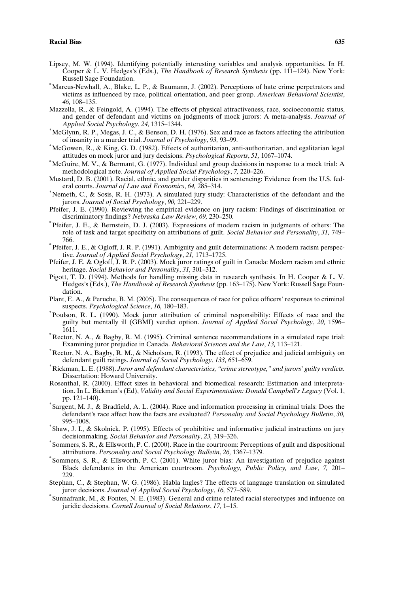- Lipsey, M. W. (1994). Identifying potentially interesting variables and analysis opportunities. In H. Cooper & L. V. Hedges's (Eds.), *The Handbook of Research Synthesis* (pp. 111–124). New York: Russell Sage Foundation.
- ∗ Marcus-Newhall, A., Blake, L. P., & Baumann, J. (2002). Perceptions of hate crime perpetrators and victims as influenced by race, political orientation, and peer group. *American Behavioral Scientist*, *46,* 108–135.
- Mazzella, R., & Feingold, A. (1994). The effects of physical attractiveness, race, socioeconomic status, and gender of defendant and victims on judgments of mock jurors: A meta-analysis. *Journal of Applied Social Psychology*, *24,* 1315–1344.
- ∗ McGlynn, R. P., Megas, J. C., & Benson, D. H. (1976). Sex and race as factors affecting the attribution of insanity in a murder trial. *Journal of Psychology*, *93,* 93–99.
- ∗ McGowen, R., & King, G. D. (1982). Effects of authoritarian, anti-authoritarian, and egalitarian legal attitudes on mock juror and jury decisions. *Psychological Reports*, *51,* 1067–1074.
- ∗ McGuire, M. V., & Bermant, G. (1977). Individual and group decisions in response to a mock trial: A methodological note. *Journal of Applied Social Psychology*, *7,* 220–226.
- Mustard, D. B. (2001). Racial, ethnic, and gender disparities in sentencing: Evidence from the U.S. federal courts. *Journal of Law and Economics*, *64,* 285–314.
- ∗ Nemeth, C., & Sosis, R. H. (1973). A simulated jury study: Characteristics of the defendant and the jurors. *Journal of Social Psychology*, *90,* 221–229.
- Pfeifer, J. E. (1990). Reviewing the empirical evidence on jury racism: Findings of discrimination or discriminatory findings? *Nebraska Law Review*, *69,* 230–250.
- ∗ Pfeifer, J. E., & Bernstein, D. J. (2003). Expressions of modern racism in judgments of others: The role of task and target specificity on attributions of guilt. *Social Behavior and Personality*, *31,* 749–
- 766. <sup>∗</sup> Pfeifer, J. E., & Ogloff, J. R. P. (1991). Ambiguity and guilt determinations: A modern racism perspective. *Journal of Applied Social Psychology*, *21,* 1713–1725.
- Pfeifer, J. E. & Ogloff, J. R. P. (2003). Mock juror ratings of guilt in Canada: Modern racism and ethnic heritage. *Social Behavior and Personality*, *31,* 301–312.
- Pigott, T. D. (1994). Methods for handling missing data in research synthesis. In H. Cooper & L. V. Hedges's (Eds.), *The Handbook of Research Synthesis* (pp. 163–175). New York: Russell Sage Foundation.
- Plant, E. A., & Peruche, B. M. (2005). The consequences of race for police officers' responses to criminal suspects. *Psychological Science*, *16,* 180–183.
- ∗ Poulson, R. L. (1990). Mock juror attribution of criminal responsibility: Effects of race and the guilty but mentally ill (GBMI) verdict option. *Journal of Applied Social Psychology*, *20,* 1596–
- 1611. <sup>∗</sup> Rector, N. A., & Bagby, R. M. (1995). Criminal sentence recommendations in a simulated rape trial: Examining juror prejudice in Canada. *Behavioral Sciences and the Law*, *13,* 113–121.
- ∗ Rector, N. A., Bagby, R. M., & Nicholson, R. (1993). The effect of prejudice and judicial ambiguity on defendant guilt ratings. *Journal of Social Psychology*, *133,* 651–659.
- ∗ Rickman, L. E. (1988). *Juror and defendant characteristics, "crime stereotype," and jurors*' *guilty verdicts.* Dissertation: Howard University.
- Rosenthal, R. (2000). Effect sizes in behavioral and biomedical research: Estimation and interpretation. In L. Bickman's (Ed), *Validity and Social Experimentation: Donald Campbell*'*s Legacy* (Vol. 1, pp. 121–140).
- ∗ Sargent, M. J., & Bradfield, A. L. (2004). Race and information processing in criminal trials: Does the defendant's race affect how the facts are evaluated? *Personality and Social Psychology Bulletin*, *30,*
- 995–1008. <sup>∗</sup> Shaw, J. I., & Skolnick, P. (1995). Effects of prohibitive and informative judicial instructions on jury decisionmaking. *Social Behavior and Personality*, *23,* 319–326.
- ∗ Sommers, S. R., & Ellsworth, P. C. (2000). Race in the courtroom: Perceptions of guilt and dispositional attributions. *Personality and Social Psychology Bulletin*, *26,* 1367–1379.
- ∗ Sommers, S. R., & Ellsworth, P. C. (2001). White juror bias: An investigation of prejudice against Black defendants in the American courtroom. *Psychology, Public Policy, and Law*, *7,* 201– 229.
- Stephan, C., & Stephan, W. G. (1986). Habla Ingles? The effects of language translation on simulated juror decisions. *Journal of Applied Social Psychology*, *16,* 577–589.
- ∗ Sunnafrank, M., & Fontes, N. E. (1983). General and crime related racial stereotypes and influence on juridic decisions. *Cornell Journal of Social Relations*, *17,* 1–15.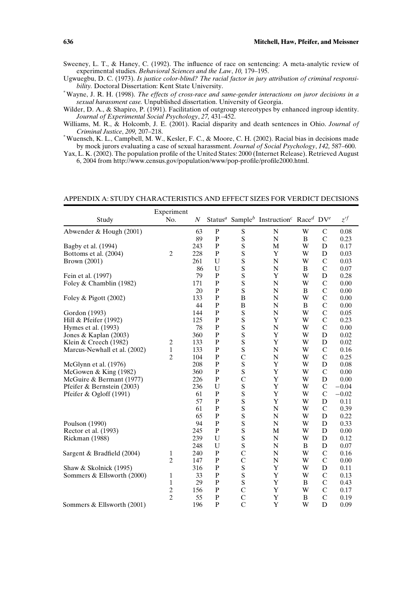Sweeney, L. T., & Haney, C. (1992). The influence of race on sentencing: A meta-analytic review of experimental studies. *Behavioral Sciences and the Law*, *10,* 179–195.

Ugwuegbu, D. C. (1973). *Is justice color-blind? The racial factor in jury attribution of criminal responsibility.* Doctoral Dissertation: Kent State University.

∗ Wayne, J. R. H. (1998). *The effects of cross-race and same-gender interactions on juror decisions in a sexual harassment case.* Unpublished dissertation. University of Georgia.

Wilder, D. A., & Shapiro, P. (1991). Facilitation of outgroup stereotypes by enhanced ingroup identity. *Journal of Experimental Social Psychology*, *27,* 431–452.

Williams, M. R., & Holcomb, J. E. (2001). Racial disparity and death sentences in Ohio. *Journal of Criminal Justice*, *209,* 207–218. <sup>∗</sup>

Wuensch, K. L., Campbell, M. W., Kesler, F. C., & Moore, C. H. (2002). Racial bias in decisions made by mock jurors evaluating a case of sexual harassment. *Journal of Social Psychology*, *142,* 587–600.

Yax, L. K. (2002). The population profile of the United States: 2000 (Internet Release). Retrieved August 6, 2004 from http://www.census.gov/population/www/pop-profile/profile2000.html.

#### APPENDIX A: STUDY CHARACTERISTICS AND EFFECT SIZES FOR VERDICT DECISIONS

|                              | Experiment     |                  |                |                |                                                                                                    |   |               |         |
|------------------------------|----------------|------------------|----------------|----------------|----------------------------------------------------------------------------------------------------|---|---------------|---------|
| Study                        | No.            | $\boldsymbol{N}$ |                |                | Status <sup>a</sup> Sample <sup>b</sup> Instruction <sup>c</sup> Race <sup>d</sup> DV <sup>e</sup> |   |               | $z'^f$  |
| Abwender & Hough (2001)      |                | 63               | ${\bf P}$      | ${\mathbf S}$  | N                                                                                                  | W | $\mathsf{C}$  | 0.08    |
|                              |                | 89               | $\mathbf{P}$   | S              | N                                                                                                  | B | $\mathsf{C}$  | 0.23    |
| Bagby et al. (1994)          |                | 243              | $\mathbf{P}$   | S              | M                                                                                                  | W | D             | 0.17    |
| Bottoms et al. (2004)        | $\overline{c}$ | 228              | P              | S              | Y                                                                                                  | W | D             | 0.03    |
| Brown (2001)                 |                | 261              | U              | S              | N                                                                                                  | W | $\mathsf{C}$  | 0.03    |
|                              |                | 86               | U              | S              | N                                                                                                  | B | $\mathsf{C}$  | 0.07    |
| Fein et al. (1997)           |                | 79               | P              | S              | Y                                                                                                  | W | D             | 0.28    |
| Foley & Chamblin (1982)      |                | 171              | $\mathbf{P}$   | S              | N                                                                                                  | W | $\mathsf{C}$  | 0.00    |
|                              |                | 20               | P              | S              | N                                                                                                  | B | $\mathcal{C}$ | 0.00    |
| Foley & Pigott $(2002)$      |                | 133              | P              | B              | N                                                                                                  | W | C             | 0.00    |
|                              |                | 44               | P              | B              | $\mathbf N$                                                                                        | B | $\mathsf{C}$  | 0.00    |
| Gordon (1993)                |                | 144              | $\mathbf{P}$   | S              | N                                                                                                  | W | C             | 0.05    |
| Hill & Pfeifer (1992)        |                | 125              | $\mathbf{P}$   | S              | Y                                                                                                  | W | $\mathcal{C}$ | 0.23    |
| Hymes et al. (1993)          |                | 78               | P              | S              | N                                                                                                  | W | $\mathsf{C}$  | 0.00    |
| Jones & Kaplan $(2003)$      |                | 360              | $\mathbf{P}$   | S              | Y                                                                                                  | W | D             | 0.02    |
| Klein & Creech (1982)        | 2              | 133              | $\mathbf{P}$   | S              | Y                                                                                                  | W | D             | 0.02    |
| Marcus-Newhall et al. (2002) | $\mathbf{1}$   | 133              | P              | S              | N                                                                                                  | W | $\mathsf{C}$  | 0.16    |
|                              | $\overline{c}$ | 104              | $\mathbf{P}$   | $\mathbf C$    | $\mathbf N$                                                                                        | W | $\mathsf{C}$  | 0.25    |
| McGlynn et al. (1976)        |                | 208              | $\mathbf{P}$   | S              | Y                                                                                                  | W | D             | 0.08    |
| McGowen & King (1982)        |                | 360              | $\mathbf{P}$   | S              | Y                                                                                                  | W | $\mathsf{C}$  | 0.00    |
| McGuire & Bermant (1977)     |                | 226              | $\mathbf{P}$   | $\mathbf C$    | Y                                                                                                  | W | D             | 0.00    |
| Pfeifer & Bernstein (2003)   |                | 236              | U              | S              | Y                                                                                                  | W | $\mathsf{C}$  | $-0.04$ |
| Pfeifer & Ogloff (1991)      |                | 61               | $\mathbf{P}$   | S              | Y                                                                                                  | W | C             | $-0.02$ |
|                              |                | 57               | $\mathbf{P}$   | S              | Y                                                                                                  | W | D             | 0.11    |
|                              |                | 61               | P              | S              | $\mathbf N$                                                                                        | W | $\mathcal{C}$ | 0.39    |
|                              |                | 65               | $\mathbf{P}$   | S              | N                                                                                                  | W | D             | 0.22    |
| Poulson (1990)               |                | 94               | $\mathbf{P}$   | S              | N                                                                                                  | W | D             | 0.33    |
| Rector et al. (1993)         |                | 245              | $\mathbf{P}$   | S              | M                                                                                                  | W | D             | 0.00    |
| Rickman (1988)               |                | 239              | U              | S              | N                                                                                                  | W | D             | 0.12    |
|                              |                | 248              | U              | S              | N                                                                                                  | B | D             | 0.07    |
| Sargent & Bradfield (2004)   | $\mathbf{1}$   | 240              | P              | $\mathcal{C}$  | N                                                                                                  | W | $\mathsf{C}$  | 0.16    |
|                              | $\overline{c}$ | 147              | $\mathbf{P}$   | $\mathbf C$    | $\mathbf N$                                                                                        | W | $\mathcal{C}$ | 0.00    |
| Shaw & Skolnick (1995)       |                | 316              | $\mathbf{P}$   | S              | Y                                                                                                  | W | D             | 0.11    |
| Sommers & Ellsworth (2000)   | 1              | 33               | $\mathbf{P}$   | S              | Y                                                                                                  | W | $\mathsf{C}$  | 0.13    |
|                              | $\mathbf{1}$   | 29               | P              | S              | Y                                                                                                  | B | $\mathcal{C}$ | 0.43    |
|                              | $\mathfrak{2}$ | 156              | P              | $\mathbf C$    | Y                                                                                                  | W | C             | 0.17    |
|                              | $\overline{c}$ | 55               | $\overline{P}$ | $\mathbf C$    | Y                                                                                                  | B | $\mathsf{C}$  | 0.19    |
| Sommers & Ellsworth (2001)   |                | 196              | $\mathbf{P}$   | $\overline{C}$ | Y                                                                                                  | W | D             | 0.09    |